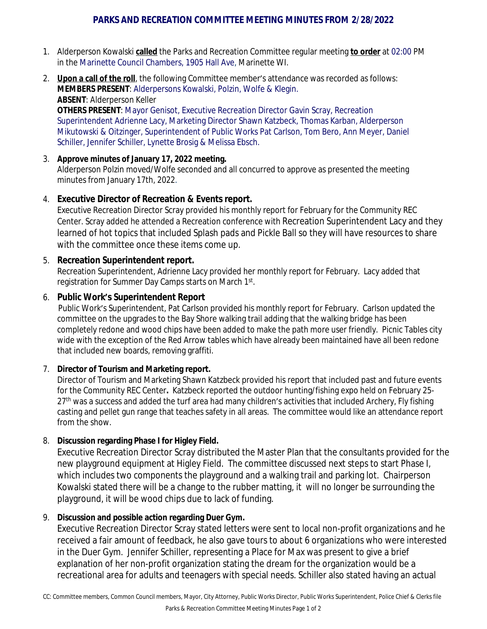# **PARKS AND RECREATION COMMITTEE MEETING MINUTES FROM 2/28/2022**

- 1. Alderperson Kowalski **called** the Parks and Recreation Committee regular meeting **to order** at 02:00 PM in the Marinette Council Chambers, 1905 Hall Ave, Marinette WI.
- 2. **Upon a call of the roll**, the following Committee member's attendance was recorded as follows: **MEMBERS PRESENT**: Alderpersons Kowalski, Polzin, Wolfe & Klegin. **ABSENT**: Alderperson Keller **OTHERS PRESENT**: Mayor Genisot, Executive Recreation Director Gavin Scray, Recreation Superintendent Adrienne Lacy, Marketing Director Shawn Katzbeck, Thomas Karban, Alderperson

Mikutowski & Oitzinger, Superintendent of Public Works Pat Carlson, Tom Bero, Ann Meyer, Daniel Schiller, Jennifer Schiller, Lynette Brosig & Melissa Ebsch.

### 3. **Approve minutes of January 17, 2022 meeting.**

Alderperson Polzin moved/Wolfe seconded and all concurred to approve as presented the meeting minutes from January 17th, 2022.

# 4. **Executive Director of Recreation & Events report.**

Executive Recreation Director Scray provided his monthly report for February for the Community REC Center. Scray added he attended a Recreation conference with Recreation Superintendent Lacy and they learned of hot topics that included Splash pads and Pickle Ball so they will have resources to share with the committee once these items come up.

### 5. **Recreation Superintendent report.**

Recreation Superintendent, Adrienne Lacy provided her monthly report for February. Lacy added that registration for Summer Day Camps starts on March 1st.

# 6. **Public Work's Superintendent Report**

Public Work's Superintendent, Pat Carlson provided his monthly report for February. Carlson updated the committee on the upgrades to the Bay Shore walking trail adding that the walking bridge has been completely redone and wood chips have been added to make the path more user friendly. Picnic Tables city wide with the exception of the Red Arrow tables which have already been maintained have all been redone that included new boards, removing graffiti.

### 7. **Director of Tourism and Marketing report.**

Director of Tourism and Marketing Shawn Katzbeck provided his report that included past and future events for the Community REC Center**.** Katzbeck reported the outdoor hunting/fishing expo held on February 25- 27<sup>th</sup> was a success and added the turf area had many children's activities that included Archery, Fly fishing casting and pellet gun range that teaches safety in all areas. The committee would like an attendance report from the show.

### 8. **Discussion regarding Phase I for Higley Field.**

Executive Recreation Director Scray distributed the Master Plan that the consultants provided for the new playground equipment at Higley Field. The committee discussed next steps to start Phase I, which includes two components the playground and a walking trail and parking lot. Chairperson Kowalski stated there will be a change to the rubber matting, it will no longer be surrounding the playground, it will be wood chips due to lack of funding.

### 9. **Discussion and possible action regarding Duer Gym.**

Executive Recreation Director Scray stated letters were sent to local non-profit organizations and he received a fair amount of feedback, he also gave tours to about 6 organizations who were interested in the Duer Gym. Jennifer Schiller, representing a Place for Max was present to give a brief explanation of her non-profit organization stating the dream for the organization would be a recreational area for adults and teenagers with special needs. Schiller also stated having an actual